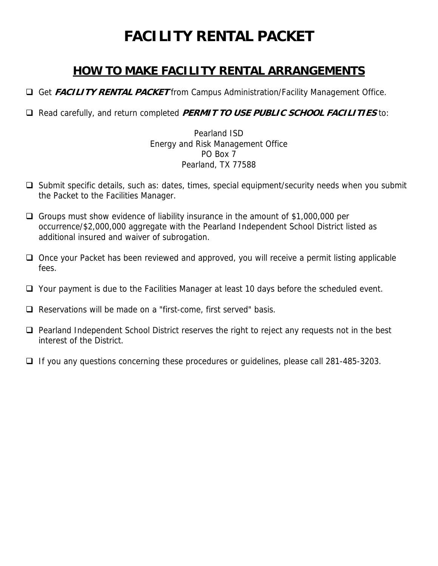# **FACILITY RENTAL PACKET**

# **HOW TO MAKE FACILITY RENTAL ARRANGEMENTS**

Get **FACILITY RENTAL PACKET** from Campus Administration/Facility Management Office.

Read carefully, and return completed **PERMIT TO USE PUBLIC SCHOOL FACILITIES** to:

Pearland ISD Energy and Risk Management Office PO Box 7 Pearland, TX 77588

- $\Box$  Submit specific details, such as: dates, times, special equipment/security needs when you submit the Packet to the Facilities Manager.
- Groups must show evidence of liability insurance in the amount of \$1,000,000 per occurrence/\$2,000,000 aggregate with the Pearland Independent School District listed as additional insured and waiver of subrogation.
- $\Box$  Once your Packet has been reviewed and approved, you will receive a permit listing applicable fees.
- □ Your payment is due to the Facilities Manager at least 10 days before the scheduled event.
- $\Box$  Reservations will be made on a "first-come, first served" basis.
- $\Box$  Pearland Independent School District reserves the right to reject any requests not in the best interest of the District.
- $\Box$  If you any questions concerning these procedures or guidelines, please call 281-485-3203.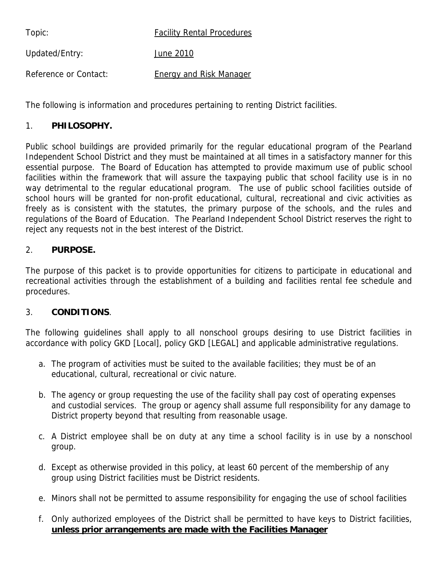Topic: The Facility Rental Procedures

Updated/Entry: June 2010

Reference or Contact: Energy and Risk Manager

The following is information and procedures pertaining to renting District facilities.

#### 1. **PHILOSOPHY.**

Public school buildings are provided primarily for the regular educational program of the Pearland Independent School District and they must be maintained at all times in a satisfactory manner for this essential purpose. The Board of Education has attempted to provide maximum use of public school facilities within the framework that will assure the taxpaying public that school facility use is in no way detrimental to the regular educational program. The use of public school facilities outside of school hours will be granted for non-profit educational, cultural, recreational and civic activities as freely as is consistent with the statutes, the primary purpose of the schools, and the rules and regulations of the Board of Education. The Pearland Independent School District reserves the right to reject any requests not in the best interest of the District.

#### 2. **PURPOSE.**

The purpose of this packet is to provide opportunities for citizens to participate in educational and recreational activities through the establishment of a building and facilities rental fee schedule and procedures.

#### 3. **CONDITIONS**.

The following guidelines shall apply to all nonschool groups desiring to use District facilities in accordance with policy GKD [Local], policy GKD [LEGAL] and applicable administrative regulations.

- a. The program of activities must be suited to the available facilities; they must be of an educational, cultural, recreational or civic nature.
- b. The agency or group requesting the use of the facility shall pay cost of operating expenses and custodial services. The group or agency shall assume full responsibility for any damage to District property beyond that resulting from reasonable usage.
- c. A District employee shall be on duty at any time a school facility is in use by a nonschool group.
- d. Except as otherwise provided in this policy, at least 60 percent of the membership of any group using District facilities must be District residents.
- e. Minors shall not be permitted to assume responsibility for engaging the use of school facilities
- f. Only authorized employees of the District shall be permitted to have keys to District facilities, **unless prior arrangements are made with the Facilities Manager**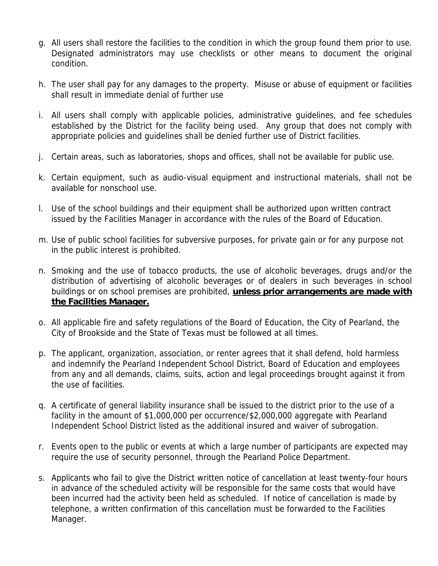- g. All users shall restore the facilities to the condition in which the group found them prior to use. Designated administrators may use checklists or other means to document the original condition.
- h. The user shall pay for any damages to the property. Misuse or abuse of equipment or facilities shall result in immediate denial of further use
- i. All users shall comply with applicable policies, administrative guidelines, and fee schedules established by the District for the facility being used. Any group that does not comply with appropriate policies and guidelines shall be denied further use of District facilities.
- j. Certain areas, such as laboratories, shops and offices, shall not be available for public use.
- k. Certain equipment, such as audio-visual equipment and instructional materials, shall not be available for nonschool use.
- l. Use of the school buildings and their equipment shall be authorized upon written contract issued by the Facilities Manager in accordance with the rules of the Board of Education.
- m. Use of public school facilities for subversive purposes, for private gain or for any purpose not in the public interest is prohibited.
- n. Smoking and the use of tobacco products, the use of alcoholic beverages, drugs and/or the distribution of advertising of alcoholic beverages or of dealers in such beverages in school buildings or on school premises are prohibited, **unless prior arrangements are made with the Facilities Manager.**
- o. All applicable fire and safety regulations of the Board of Education, the City of Pearland, the City of Brookside and the State of Texas must be followed at all times.
- p. The applicant, organization, association, or renter agrees that it shall defend, hold harmless and indemnify the Pearland Independent School District, Board of Education and employees from any and all demands, claims, suits, action and legal proceedings brought against it from the use of facilities.
- q. A certificate of general liability insurance shall be issued to the district prior to the use of a facility in the amount of \$1,000,000 per occurrence/\$2,000,000 aggregate with Pearland Independent School District listed as the additional insured and waiver of subrogation.
- r. Events open to the public or events at which a large number of participants are expected may require the use of security personnel, through the Pearland Police Department.
- s. Applicants who fail to give the District written notice of cancellation at least twenty-four hours in advance of the scheduled activity will be responsible for the same costs that would have been incurred had the activity been held as scheduled. If notice of cancellation is made by telephone, a written confirmation of this cancellation must be forwarded to the Facilities Manager.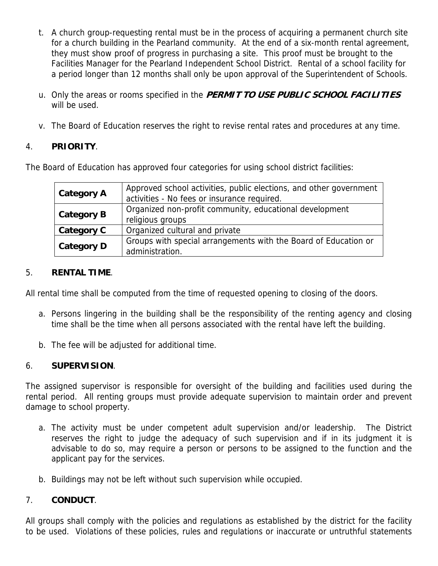- t. A church group-requesting rental must be in the process of acquiring a permanent church site for a church building in the Pearland community. At the end of a six-month rental agreement, they must show proof of progress in purchasing a site. This proof must be brought to the Facilities Manager for the Pearland Independent School District. Rental of a school facility for a period longer than 12 months shall only be upon approval of the Superintendent of Schools.
- u. Only the areas or rooms specified in the **PERMIT TO USE PUBLIC SCHOOL FACILITIES** will be used.
- v. The Board of Education reserves the right to revise rental rates and procedures at any time.

#### 4. **PRIORITY**.

The Board of Education has approved four categories for using school district facilities:

| <b>Category A</b> | Approved school activities, public elections, and other government<br>activities - No fees or insurance required. |
|-------------------|-------------------------------------------------------------------------------------------------------------------|
| <b>Category B</b> | Organized non-profit community, educational development<br>religious groups                                       |
| Category C        | Organized cultural and private                                                                                    |
| <b>Category D</b> | Groups with special arrangements with the Board of Education or<br>administration.                                |

#### 5. **RENTAL TIME**.

All rental time shall be computed from the time of requested opening to closing of the doors.

- a. Persons lingering in the building shall be the responsibility of the renting agency and closing time shall be the time when all persons associated with the rental have left the building.
- b. The fee will be adjusted for additional time.

#### 6. **SUPERVISION**.

The assigned supervisor is responsible for oversight of the building and facilities used during the rental period. All renting groups must provide adequate supervision to maintain order and prevent damage to school property.

- a. The activity must be under competent adult supervision and/or leadership. The District reserves the right to judge the adequacy of such supervision and if in its judgment it is advisable to do so, may require a person or persons to be assigned to the function and the applicant pay for the services.
- b. Buildings may not be left without such supervision while occupied.

#### 7. **CONDUCT**.

All groups shall comply with the policies and regulations as established by the district for the facility to be used. Violations of these policies, rules and regulations or inaccurate or untruthful statements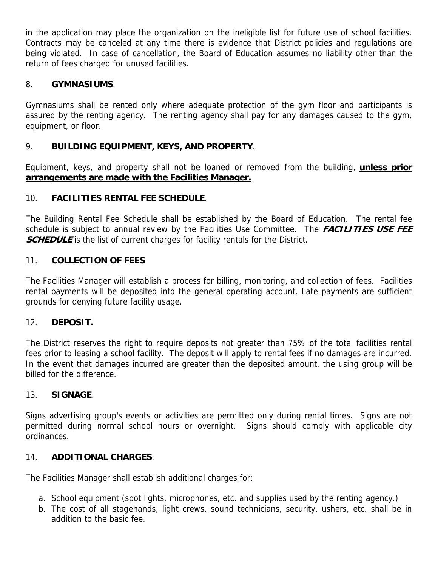in the application may place the organization on the ineligible list for future use of school facilities. Contracts may be canceled at any time there is evidence that District policies and regulations are being violated. In case of cancellation, the Board of Education assumes no liability other than the return of fees charged for unused facilities.

#### 8. **GYMNASIUMS**.

Gymnasiums shall be rented only where adequate protection of the gym floor and participants is assured by the renting agency. The renting agency shall pay for any damages caused to the gym, equipment, or floor.

#### 9. **BUILDING EQUIPMENT, KEYS, AND PROPERTY**.

Equipment, keys, and property shall not be loaned or removed from the building, **unless prior arrangements are made with the Facilities Manager.**

#### 10. **FACILITIES RENTAL FEE SCHEDULE**.

The Building Rental Fee Schedule shall be established by the Board of Education. The rental fee schedule is subject to annual review by the Facilities Use Committee. The **FACILITIES USE FEE SCHEDULE** is the list of current charges for facility rentals for the District.

#### 11. **COLLECTION OF FEES**

The Facilities Manager will establish a process for billing, monitoring, and collection of fees. Facilities rental payments will be deposited into the general operating account. Late payments are sufficient grounds for denying future facility usage.

#### 12. **DEPOSIT.**

The District reserves the right to require deposits not greater than 75% of the total facilities rental fees prior to leasing a school facility. The deposit will apply to rental fees if no damages are incurred. In the event that damages incurred are greater than the deposited amount, the using group will be billed for the difference.

#### 13. **SIGNAGE**.

Signs advertising group's events or activities are permitted only during rental times. Signs are not permitted during normal school hours or overnight. Signs should comply with applicable city ordinances.

#### 14. **ADDITIONAL CHARGES**.

The Facilities Manager shall establish additional charges for:

- a. School equipment (spot lights, microphones, etc. and supplies used by the renting agency.)
- b. The cost of all stagehands, light crews, sound technicians, security, ushers, etc. shall be in addition to the basic fee.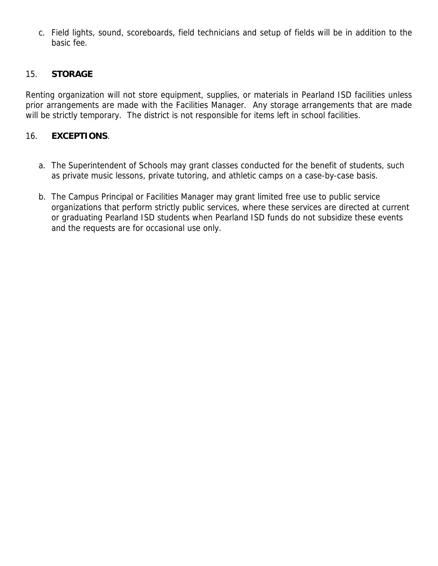c. Field lights, sound, scoreboards, field technicians and setup of fields will be in addition to the basic fee.

#### 15. **STORAGE**

Renting organization will not store equipment, supplies, or materials in Pearland ISD facilities unless prior arrangements are made with the Facilities Manager. Any storage arrangements that are made will be strictly temporary. The district is not responsible for items left in school facilities.

#### 16. **EXCEPTIONS**.

- a. The Superintendent of Schools may grant classes conducted for the benefit of students, such as private music lessons, private tutoring, and athletic camps on a case-by-case basis.
- b. The Campus Principal or Facilities Manager may grant limited free use to public service organizations that perform strictly public services, where these services are directed at current or graduating Pearland ISD students when Pearland ISD funds do not subsidize these events and the requests are for occasional use only.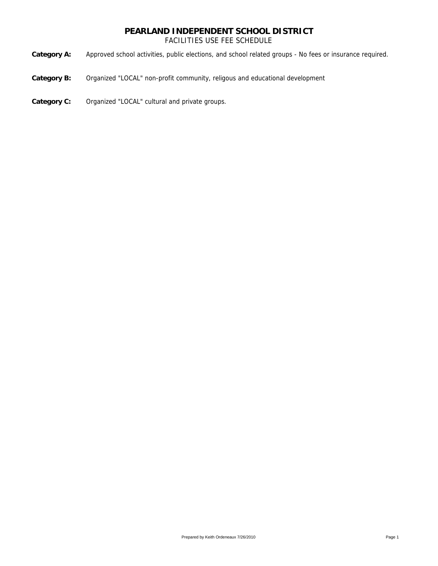FACILITIES USE FEE SCHEDULE

**Category A:** Approved school activities, public elections, and school related groups - No fees or insurance required.

- **Category B:** Organized "LOCAL" non-profit community, religous and educational development
- **Category C:** Organized "LOCAL" cultural and private groups.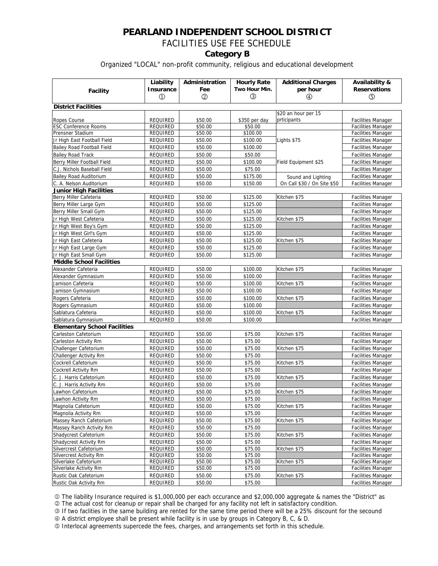# FACILITIES USE FEE SCHEDULE

#### **Category B**

#### Organized "LOCAL" non-profit community, religious and educational development

|                                                          | Liability            | Administration     | <b>Hourly Rate</b><br>Two Hour Min. | <b>Additional Charges</b>   | Availability &                                         |  |  |  |
|----------------------------------------------------------|----------------------|--------------------|-------------------------------------|-----------------------------|--------------------------------------------------------|--|--|--|
| <b>Facility</b>                                          | <b>Insurance</b>     | Fee                |                                     | per hour                    | <b>Reservations</b>                                    |  |  |  |
|                                                          | $\textcircled{1}$    | $^{\circledR}$     | $\circled{3}$                       | ⊕                           | ⑤                                                      |  |  |  |
| <b>District Facilities</b>                               |                      |                    |                                     |                             |                                                        |  |  |  |
|                                                          |                      |                    |                                     | \$20 an hour per 15         |                                                        |  |  |  |
| Ropes Course                                             | <b>REQUIRED</b>      | \$50.00            | \$350 per day                       | prticipants                 | <b>Facilities Manager</b>                              |  |  |  |
| <b>ESC Conference Rooms</b>                              | REQUIRED             | \$50.00            | \$50.00                             |                             | <b>Facilities Manager</b>                              |  |  |  |
| Prensner Stadium                                         | REQUIRED             | \$50.00            | \$100.00                            |                             | <b>Facilities Manager</b>                              |  |  |  |
| Jr High East Football Field                              | <b>REQUIRED</b>      | \$50.00            | \$100.00                            | Lights \$75                 | <b>Facilities Manager</b>                              |  |  |  |
| <b>Bailey Road Football Field</b>                        | <b>REQUIRED</b>      | \$50.00            | \$100.00                            |                             | <b>Facilities Manager</b>                              |  |  |  |
| <b>Bailey Road Track</b>                                 | REQUIRED             | \$50.00            | \$50.00                             | Field Equipment \$25        | <b>Facilities Manager</b>                              |  |  |  |
| Berry Miller Football Field                              | <b>REQUIRED</b>      | \$50.00            | \$100.00                            |                             | <b>Facilities Manager</b>                              |  |  |  |
| C.J. Nichols Baseball Field                              | REQUIRED             | \$50.00            | \$75.00                             |                             | <b>Facilities Manager</b>                              |  |  |  |
| <b>Bailey Road Auditorium</b>                            | <b>REQUIRED</b>      | \$50.00            | \$175.00                            | Sound and Lighting          | <b>Facilities Manager</b>                              |  |  |  |
| C. A. Nelson Auditorium                                  | <b>REQUIRED</b>      | \$50.00            | \$150.00                            | On Call \$30 / On Site \$50 | <b>Facilities Manager</b>                              |  |  |  |
| <b>Junior High Facilities</b>                            |                      |                    |                                     |                             |                                                        |  |  |  |
| Berry Miller Cafeteria                                   | <b>REQUIRED</b>      | \$50.00            | \$125.00                            | Kitchen \$75                | <b>Facilities Manager</b>                              |  |  |  |
| Berry Miller Large Gym                                   | <b>REQUIRED</b>      | \$50.00            | \$125.00                            |                             | Facilities Manager                                     |  |  |  |
| Berry Miller Small Gym                                   | <b>REQUIRED</b>      | \$50.00            | \$125.00                            |                             | <b>Facilities Manager</b>                              |  |  |  |
| Jr High West Cafeteria                                   | REQUIRED             | \$50.00            | \$125.00                            | Kitchen \$75                | <b>Facilities Manager</b>                              |  |  |  |
| Jr High West Boy's Gym                                   | <b>REQUIRED</b>      | \$50.00            | \$125.00                            |                             | <b>Facilities Manager</b>                              |  |  |  |
| Jr High West Girl's Gym                                  | <b>REQUIRED</b>      | \$50.00            | \$125.00                            |                             | <b>Facilities Manager</b>                              |  |  |  |
| Jr High East Cafeteria                                   | REQUIRED             | \$50.00            | \$125.00                            | Kitchen \$75                | <b>Facilities Manager</b>                              |  |  |  |
| Jr High East Large Gym                                   | <b>REQUIRED</b>      | \$50.00            | \$125.00                            |                             | <b>Facilities Manager</b>                              |  |  |  |
| Jr High East Small Gym                                   | <b>REQUIRED</b>      | \$50.00            | \$125.00                            |                             | <b>Facilities Manager</b>                              |  |  |  |
| <b>Middle School Facilities</b>                          |                      |                    |                                     |                             |                                                        |  |  |  |
| Alexander Cafeteria                                      | <b>REQUIRED</b>      | \$50.00            | \$100.00                            | Kitchen \$75                | <b>Facilities Manager</b>                              |  |  |  |
| Alexander Gymnasium                                      | <b>REQUIRED</b>      | \$50.00            | \$100.00                            |                             | <b>Facilities Manager</b>                              |  |  |  |
| Jamison Cafeteria                                        | <b>REQUIRED</b>      | \$50.00            | \$100.00                            | Kitchen \$75                | <b>Facilities Manager</b>                              |  |  |  |
| Jamison Gymnasium                                        | <b>REQUIRED</b>      | \$50.00            | \$100.00                            |                             | <b>Facilities Manager</b>                              |  |  |  |
| Rogers Cafeteria                                         | <b>REQUIRED</b>      | \$50.00            | \$100.00                            | Kitchen \$75                | <b>Facilities Manager</b>                              |  |  |  |
| Rogers Gymnasium                                         | <b>REQUIRED</b>      | \$50.00            | \$100.00                            |                             | <b>Facilities Manager</b>                              |  |  |  |
| Sablatura Cafeteria                                      | <b>REQUIRED</b>      | \$50.00            | \$100.00                            | Kitchen \$75                | <b>Facilities Manager</b>                              |  |  |  |
| Sablatura Gymnasium                                      | REQUIRED             | \$50.00            | \$100.00                            |                             | <b>Facilities Manager</b>                              |  |  |  |
| <b>Elementary School Facilities</b>                      |                      |                    |                                     |                             |                                                        |  |  |  |
| Carleston Cafetorium                                     | <b>REQUIRED</b>      | \$50.00            | \$75.00                             | Kitchen \$75                | <b>Facilities Manager</b>                              |  |  |  |
| Carleston Activity Rm                                    | REQUIRED             | \$50.00            | \$75.00                             |                             | <b>Facilities Manager</b>                              |  |  |  |
| Challenger Cafetorium                                    | <b>REQUIRED</b>      | \$50.00            | \$75.00                             | Kitchen \$75                | <b>Facilities Manager</b>                              |  |  |  |
| Challenger Activity Rm                                   | <b>REQUIRED</b>      | \$50.00            | \$75.00                             |                             | <b>Facilities Manager</b>                              |  |  |  |
| Cockrell Cafetorium                                      | REQUIRED             | \$50.00            | \$75.00                             | Kitchen \$75                | <b>Facilities Manager</b>                              |  |  |  |
| <b>Cockrell Activity Rm</b>                              | <b>REQUIRED</b>      | \$50.00            | \$75.00                             |                             | <b>Facilities Manager</b>                              |  |  |  |
| C. J. Harris Cafetorium                                  | <b>REQUIRED</b>      | \$50.00            | \$75.00                             | Kitchen \$75                | <b>Facilities Manager</b>                              |  |  |  |
| C. J. Harris Activity Rm                                 | REQUIRED             | \$50.00            | \$75.00                             |                             | <b>Facilities Manager</b>                              |  |  |  |
| Lawhon Cafetorium                                        |                      |                    |                                     |                             |                                                        |  |  |  |
|                                                          | <b>REQUIRED</b>      | \$50.00            | \$75.00                             | Kitchen \$75                | <b>Facilities Manager</b>                              |  |  |  |
| Lawhon Activity Rm                                       | REQUIRED             | \$50.00            | \$75.00                             |                             | <b>Facilities Manager</b>                              |  |  |  |
| Magnolia Cafetorium                                      | REQUIRED             | \$50.00            | \$75.00                             | Kitchen \$75                | <b>Facilities Manager</b>                              |  |  |  |
| Magnolia Activity Rm                                     | REQUIRED             | \$50.00            | \$75.00                             |                             | <b>Facilities Manager</b>                              |  |  |  |
| Massey Ranch Cafetorium                                  | REQUIRED             | \$50.00            | \$75.00                             | Kitchen \$75                | <b>Facilities Manager</b>                              |  |  |  |
| Massey Ranch Activity Rm                                 | REQUIRED             | \$50.00            | \$75.00                             |                             | <b>Facilities Manager</b>                              |  |  |  |
| Shadycrest Cafetorium                                    | REQUIRED             | \$50.00            | \$75.00                             | Kitchen \$75                | <b>Facilities Manager</b>                              |  |  |  |
| Shadycrest Activity Rm                                   | REQUIRED             | \$50.00            | \$75.00                             |                             | <b>Facilities Manager</b>                              |  |  |  |
| Silvercrest Cafetorium<br><b>Silvercrest Activity Rm</b> | REQUIRED             | \$50.00            | \$75.00                             | Kitchen \$75                | <b>Facilities Manager</b>                              |  |  |  |
| Silverlake Cafetorium                                    | REQUIRED<br>REQUIRED | \$50.00<br>\$50.00 | \$75.00<br>\$75.00                  | Kitchen \$75                | <b>Facilities Manager</b><br><b>Facilities Manager</b> |  |  |  |
| Silverlake Activity Rm                                   | REQUIRED             | \$50.00            | \$75.00                             |                             | <b>Facilities Manager</b>                              |  |  |  |
| Rustic Oak Cafetorium                                    | REQUIRED             | \$50.00            | \$75.00                             | Kitchen \$75                | <b>Facilities Manager</b>                              |  |  |  |
| Rustic Oak Activity Rm                                   | REQUIRED             | \$50.00            | \$75.00                             |                             | <b>Facilities Manager</b>                              |  |  |  |
|                                                          |                      |                    |                                     |                             |                                                        |  |  |  |

1 The liability Insurance required is \$1,000,000 per each occurance and \$2,000,000 aggregate & names the "District" as

2 The actual cost for cleanup or repair shall be charged for any facility not left in satisfactory condition.

3 If two faclities in the same building are rented for the same time period there will be a 25% discount for the secound 4 A district employee shall be present while facility is in use by groups in Category B, C, & D.

5 Interlocal agreements supercede the fees, charges, and arrangements set forth in this schedule.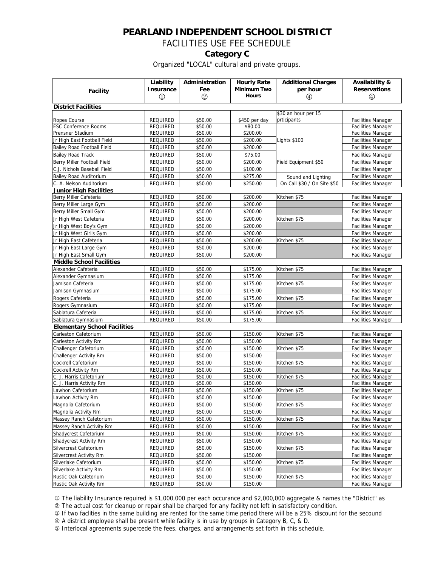#### FACILITIES USE FEE SCHEDULE

#### **Category C**

Organized "LOCAL" cultural and private groups.

|                                     | Liability         | Administration | <b>Hourly Rate</b> | <b>Additional Charges</b>   | Availability &            |  |  |  |
|-------------------------------------|-------------------|----------------|--------------------|-----------------------------|---------------------------|--|--|--|
|                                     | <b>Insurance</b>  | Fee            | <b>Minimum Two</b> | per hour                    | <b>Reservations</b>       |  |  |  |
| <b>Facility</b>                     | $\textcircled{1}$ | $^{\circledR}$ | <b>Hours</b>       | ⊕                           | $\circled{4}$             |  |  |  |
|                                     |                   |                |                    |                             |                           |  |  |  |
| <b>District Facilities</b>          |                   |                |                    |                             |                           |  |  |  |
|                                     |                   |                |                    | \$30 an hour per 15         |                           |  |  |  |
| Ropes Course                        | <b>REQUIRED</b>   | \$50.00        | \$450 per day      | prticipants                 | <b>Facilities Manager</b> |  |  |  |
| <b>ESC Conference Rooms</b>         | REQUIRED          | \$50.00        | \$80.00            |                             | <b>Facilities Manager</b> |  |  |  |
| Prensner Stadium                    | REQUIRED          | \$50.00        | \$200.00           |                             | <b>Facilities Manager</b> |  |  |  |
| Jr High East Football Field         | REQUIRED          | \$50.00        | \$200.00           | Lights \$100                | <b>Facilities Manager</b> |  |  |  |
| Bailey Road Football Field          | REQUIRED          | \$50.00        | \$200.00           |                             | <b>Facilities Manager</b> |  |  |  |
| <b>Bailey Road Track</b>            | REQUIRED          | \$50.00        | \$75.00            |                             | Facilities Manager        |  |  |  |
| Berry Miller Football Field         | REQUIRED          | \$50.00        | \$200.00           | Field Equipment \$50        | <b>Facilities Manager</b> |  |  |  |
| C.J. Nichols Baseball Field         | REQUIRED          | \$50.00        | \$100.00           |                             | <b>Facilities Manager</b> |  |  |  |
| <b>Bailey Road Auditorium</b>       | REQUIRED          | \$50.00        | \$275.00           | Sound and Lighting          | <b>Facilities Manager</b> |  |  |  |
| C. A. Nelson Auditorium             | REQUIRED          | \$50.00        | \$250.00           | On Call \$30 / On Site \$50 | Facilities Manager        |  |  |  |
| Junior High Facilities              |                   |                |                    |                             |                           |  |  |  |
| Berry Miller Cafeteria              | REQUIRED          | \$50.00        | \$200.00           | Kitchen \$75                | <b>Facilities Manager</b> |  |  |  |
| Berry Miller Large Gym              | REQUIRED          | \$50.00        | \$200.00           |                             | <b>Facilities Manager</b> |  |  |  |
| Berry Miller Small Gym              | REQUIRED          | \$50.00        | \$200.00           |                             | <b>Facilities Manager</b> |  |  |  |
| Jr High West Cafeteria              | REQUIRED          | \$50.00        | \$200.00           | Kitchen \$75                | Facilities Manager        |  |  |  |
| Jr High West Boy's Gym              | REQUIRED          | \$50.00        | \$200.00           |                             | <b>Facilities Manager</b> |  |  |  |
| Jr High West Girl's Gym             | REQUIRED          | \$50.00        | \$200.00           |                             | <b>Facilities Manager</b> |  |  |  |
| Jr High East Cafeteria              | REQUIRED          | \$50.00        | \$200.00           | Kitchen \$75                | <b>Facilities Manager</b> |  |  |  |
| Jr High East Large Gym              | REQUIRED          | \$50.00        | \$200.00           |                             | <b>Facilities Manager</b> |  |  |  |
| Jr High East Small Gym              | REQUIRED          | \$50.00        | \$200.00           |                             | <b>Facilities Manager</b> |  |  |  |
| <b>Middle School Facilities</b>     |                   |                |                    |                             |                           |  |  |  |
| Alexander Cafeteria                 | REQUIRED          | \$50.00        | \$175.00           | Kitchen \$75                | <b>Facilities Manager</b> |  |  |  |
| Alexander Gymnasium                 | REQUIRED          | \$50.00        | \$175.00           |                             | <b>Facilities Manager</b> |  |  |  |
| Jamison Cafeteria                   | <b>REQUIRED</b>   | \$50.00        | \$175.00           | Kitchen \$75                | <b>Facilities Manager</b> |  |  |  |
| Jamison Gymnasium                   | REQUIRED          | \$50.00        | \$175.00           |                             | <b>Facilities Manager</b> |  |  |  |
| Rogers Cafeteria                    | REQUIRED          | \$50.00        | \$175.00           | Kitchen \$75                | <b>Facilities Manager</b> |  |  |  |
| Rogers Gymnasium                    | REQUIRED          | \$50.00        | \$175.00           |                             | <b>Facilities Manager</b> |  |  |  |
| Sablatura Cafeteria                 | REQUIRED          | \$50.00        | \$175.00           | Kitchen \$75                | <b>Facilities Manager</b> |  |  |  |
| Sablatura Gymnasium                 | REQUIRED          | \$50.00        | \$175.00           |                             | <b>Facilities Manager</b> |  |  |  |
| <b>Elementary School Facilities</b> |                   |                |                    |                             |                           |  |  |  |
| Carleston Cafetorium                | REQUIRED          | \$50.00        | \$150.00           | Kitchen \$75                | <b>Facilities Manager</b> |  |  |  |
| Carleston Activity Rm               | REQUIRED          | \$50.00        | \$150.00           |                             | <b>Facilities Manager</b> |  |  |  |
| Challenger Cafetorium               | REQUIRED          | \$50.00        | \$150.00           | Kitchen \$75                | <b>Facilities Manager</b> |  |  |  |
| Challenger Activity Rm              | REQUIRED          | \$50.00        | \$150.00           |                             | <b>Facilities Manager</b> |  |  |  |
| Cockrell Cafetorium                 | REQUIRED          | \$50.00        | \$150.00           | Kitchen \$75                | <b>Facilities Manager</b> |  |  |  |
| Cockrell Activity Rm                | REQUIRED          | \$50.00        | \$150.00           |                             | <b>Facilities Manager</b> |  |  |  |
| C. J. Harris Cafetorium             | REQUIRED          | \$50.00        | \$150.00           | Kitchen \$75                | <b>Facilities Manager</b> |  |  |  |
| C. J. Harris Activity Rm            | REQUIRED          | \$50.00        | \$150.00           |                             | <b>Facilities Manager</b> |  |  |  |
| Lawhon Cafetorium                   | <b>REQUIRED</b>   | \$50.00        | \$150.00           | Kitchen \$75                | <b>Facilities Manager</b> |  |  |  |
| Lawhon Activity Rm                  | REQUIRED          | \$50.00        | \$150.00           |                             | <b>Facilities Manager</b> |  |  |  |
| Magnolia Cafetorium                 | REQUIRED          | \$50.00        | \$150.00           | Kitchen \$75                | <b>Facilities Manager</b> |  |  |  |
| Magnolia Activity Rm                | REQUIRED          | \$50.00        | \$150.00           |                             | <b>Facilities Manager</b> |  |  |  |
| Massey Ranch Cafetorium             | REQUIRED          | \$50.00        | \$150.00           | Kitchen \$75                | <b>Facilities Manager</b> |  |  |  |
| Massey Ranch Activity Rm            | REQUIRED          | \$50.00        | \$150.00           |                             | <b>Facilities Manager</b> |  |  |  |
| Shadycrest Cafetorium               | REQUIRED          | \$50.00        | \$150.00           | Kitchen \$75                | <b>Facilities Manager</b> |  |  |  |
| Shadycrest Activity Rm              | REQUIRED          | \$50.00        | \$150.00           |                             | Facilities Manager        |  |  |  |
| Silvercrest Cafetorium              | REQUIRED          | \$50.00        | \$150.00           | Kitchen \$75                | <b>Facilities Manager</b> |  |  |  |
| Silvercrest Activity Rm             | <b>REQUIRED</b>   | \$50.00        | \$150.00           |                             | <b>Facilities Manager</b> |  |  |  |
| Silverlake Cafetorium               | REQUIRED          | \$50.00        | \$150.00           | Kitchen \$75                | <b>Facilities Manager</b> |  |  |  |
| Silverlake Activity Rm              | REQUIRED          | \$50.00        | \$150.00           |                             | <b>Facilities Manager</b> |  |  |  |
| Rustic Oak Cafetorium               | REQUIRED          | \$50.00        | \$150.00           | Kitchen \$75                | <b>Facilities Manager</b> |  |  |  |
| Rustic Oak Activity Rm              | REQUIRED          | \$50.00        | \$150.00           |                             | <b>Facilities Manager</b> |  |  |  |

1 The liability Insurance required is \$1,000,000 per each occurance and \$2,000,000 aggregate & names the "District" as

2 The actual cost for cleanup or repair shall be charged for any facility not left in satisfactory condition.

3 If two faclities in the same building are rented for the same time period there will be a 25% discount for the secound

4 A district employee shall be present while facility is in use by groups in Category B, C, & D.

5 Interlocal agreements supercede the fees, charges, and arrangements set forth in this schedule.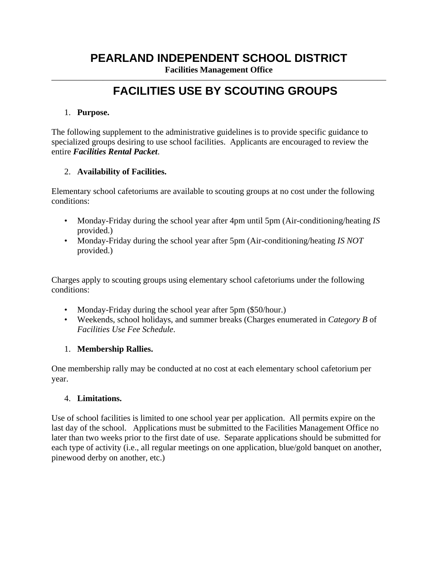**Facilities Management Office** 

## ——————————————————————————————————————— **FACILITIES USE BY SCOUTING GROUPS**

#### 1. **Purpose.**

The following supplement to the administrative guidelines is to provide specific guidance to specialized groups desiring to use school facilities. Applicants are encouraged to review the entire *Facilities Rental Packet*.

#### 2. **Availability of Facilities.**

Elementary school cafetoriums are available to scouting groups at no cost under the following conditions:

- Monday-Friday during the school year after 4pm until 5pm (Air-conditioning/heating *IS* provided.)
- Monday-Friday during the school year after 5pm (Air-conditioning/heating *IS NOT* provided.)

Charges apply to scouting groups using elementary school cafetoriums under the following conditions:

- Monday-Friday during the school year after 5pm (\$50/hour.)
- Weekends, school holidays, and summer breaks (Charges enumerated in *Category B* of *Facilities Use Fee Schedule*.

#### 1. **Membership Rallies.**

One membership rally may be conducted at no cost at each elementary school cafetorium per year.

#### 4. **Limitations.**

Use of school facilities is limited to one school year per application. All permits expire on the last day of the school. Applications must be submitted to the Facilities Management Office no later than two weeks prior to the first date of use. Separate applications should be submitted for each type of activity (i.e., all regular meetings on one application, blue/gold banquet on another, pinewood derby on another, etc.)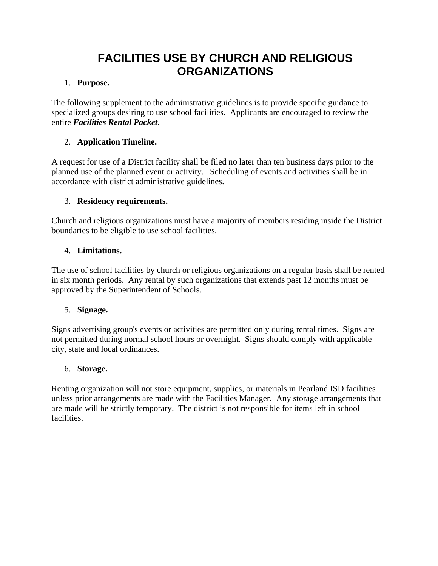# **FACILITIES USE BY CHURCH AND RELIGIOUS ORGANIZATIONS**

#### 1. **Purpose.**

The following supplement to the administrative guidelines is to provide specific guidance to specialized groups desiring to use school facilities. Applicants are encouraged to review the entire *Facilities Rental Packet*.

#### 2. **Application Timeline.**

A request for use of a District facility shall be filed no later than ten business days prior to the planned use of the planned event or activity. Scheduling of events and activities shall be in accordance with district administrative guidelines.

#### 3. **Residency requirements.**

Church and religious organizations must have a majority of members residing inside the District boundaries to be eligible to use school facilities.

#### 4. **Limitations.**

The use of school facilities by church or religious organizations on a regular basis shall be rented in six month periods. Any rental by such organizations that extends past 12 months must be approved by the Superintendent of Schools.

#### 5. **Signage.**

Signs advertising group's events or activities are permitted only during rental times. Signs are not permitted during normal school hours or overnight. Signs should comply with applicable city, state and local ordinances.

#### 6. **Storage.**

Renting organization will not store equipment, supplies, or materials in Pearland ISD facilities unless prior arrangements are made with the Facilities Manager. Any storage arrangements that are made will be strictly temporary. The district is not responsible for items left in school **facilities**